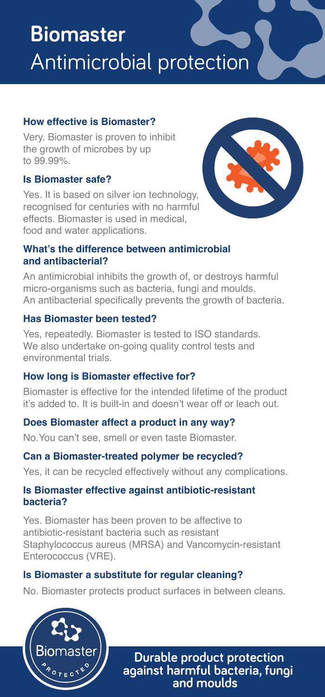# **Biomaster**  Antimicrobial protection

### **How effective is Biomaster?**

Very. Biomaster is proven to inhibit the growth of microbes by up to 99.99%.

#### **Is Biomaster safe?**

Yes. It is based on silver ion technology, recognised for centuries with no harmful effects. Biomaster is used in medical, food and water applications.



#### **What's the difference between antimicrobial and antibacterial?**

An antimicrobial inhibits the growth of, or destroys harmful micro-organisms such as bacteria, fungi and moulds. An antibacterial specifically prevents the growth of bacteria.

#### **Has Biomaster been tested?**

Yes, repeatedly. Biomaster is tested to ISO standards. We also undertake on-going quality control tests and environmental trials.

#### **How long is Biomaster effective for?**

Biomaster is effective for the intended lifetime of the product it's added to. It is built-in and doesn't wear off or leach out.

# **Does Biomaster affect a product in any way?**

No.
You can't see, smell or even taste Biomaster.

# **Can a Biomaster-treated polymer be recycled?**

Yes, it can be recycled effectively without any complications.

#### **Is Biomaster effective against antibiotic-resistant bacteria?**

Yes.
 Biomaster has been proven to be affective to antibiotic-resistant bacteria such as resistant Staphylococcus aureus (MRSA) and Vancomycin-resistant Enterococcus (VRE).

# **Is Biomaster a substitute for regular cleaning?**

No. Biomaster protects product surfaces in between cleans.



**Durable product protection against harmful bacteria, fungi and moulds**